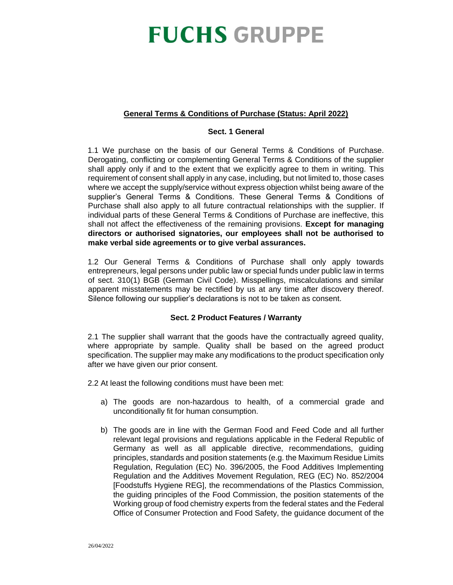### **General Terms & Conditions of Purchase (Status: April 2022)**

#### **Sect. 1 General**

1.1 We purchase on the basis of our General Terms & Conditions of Purchase. Derogating, conflicting or complementing General Terms & Conditions of the supplier shall apply only if and to the extent that we explicitly agree to them in writing. This requirement of consent shall apply in any case, including, but not limited to, those cases where we accept the supply/service without express objection whilst being aware of the supplier's General Terms & Conditions. These General Terms & Conditions of Purchase shall also apply to all future contractual relationships with the supplier. If individual parts of these General Terms & Conditions of Purchase are ineffective, this shall not affect the effectiveness of the remaining provisions. **Except for managing directors or authorised signatories, our employees shall not be authorised to make verbal side agreements or to give verbal assurances.**

1.2 Our General Terms & Conditions of Purchase shall only apply towards entrepreneurs, legal persons under public law or special funds under public law in terms of sect. 310(1) BGB (German Civil Code). Misspellings, miscalculations and similar apparent misstatements may be rectified by us at any time after discovery thereof. Silence following our supplier's declarations is not to be taken as consent.

#### **Sect. 2 Product Features / Warranty**

2.1 The supplier shall warrant that the goods have the contractually agreed quality, where appropriate by sample. Quality shall be based on the agreed product specification. The supplier may make any modifications to the product specification only after we have given our prior consent.

2.2 At least the following conditions must have been met:

- a) The goods are non-hazardous to health, of a commercial grade and unconditionally fit for human consumption.
- b) The goods are in line with the German Food and Feed Code and all further relevant legal provisions and regulations applicable in the Federal Republic of Germany as well as all applicable directive, recommendations, guiding principles, standards and position statements (e.g. the Maximum Residue Limits Regulation, Regulation (EC) No. 396/2005, the Food Additives Implementing Regulation and the Additives Movement Regulation, REG (EC) No. 852/2004 [Foodstuffs Hygiene REG], the recommendations of the Plastics Commission, the guiding principles of the Food Commission, the position statements of the Working group of food chemistry experts from the federal states and the Federal Office of Consumer Protection and Food Safety, the guidance document of the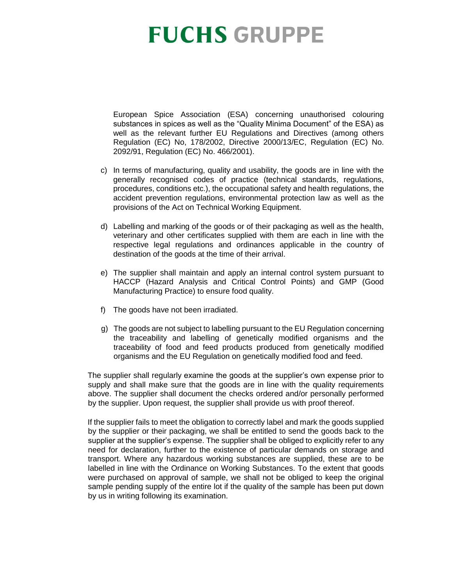European Spice Association (ESA) concerning unauthorised colouring substances in spices as well as the "Quality Minima Document" of the ESA) as well as the relevant further EU Regulations and Directives (among others Regulation (EC) No, 178/2002, Directive 2000/13/EC, Regulation (EC) No. 2092/91, Regulation (EC) No. 466/2001).

- c) In terms of manufacturing, quality and usability, the goods are in line with the generally recognised codes of practice (technical standards, regulations, procedures, conditions etc.), the occupational safety and health regulations, the accident prevention regulations, environmental protection law as well as the provisions of the Act on Technical Working Equipment.
- d) Labelling and marking of the goods or of their packaging as well as the health, veterinary and other certificates supplied with them are each in line with the respective legal regulations and ordinances applicable in the country of destination of the goods at the time of their arrival.
- e) The supplier shall maintain and apply an internal control system pursuant to HACCP (Hazard Analysis and Critical Control Points) and GMP (Good Manufacturing Practice) to ensure food quality.
- f) The goods have not been irradiated.
- g) The goods are not subject to labelling pursuant to the EU Regulation concerning the traceability and labelling of genetically modified organisms and the traceability of food and feed products produced from genetically modified organisms and the EU Regulation on genetically modified food and feed.

The supplier shall regularly examine the goods at the supplier's own expense prior to supply and shall make sure that the goods are in line with the quality requirements above. The supplier shall document the checks ordered and/or personally performed by the supplier. Upon request, the supplier shall provide us with proof thereof.

If the supplier fails to meet the obligation to correctly label and mark the goods supplied by the supplier or their packaging, we shall be entitled to send the goods back to the supplier at the supplier's expense. The supplier shall be obliged to explicitly refer to any need for declaration, further to the existence of particular demands on storage and transport. Where any hazardous working substances are supplied, these are to be labelled in line with the Ordinance on Working Substances. To the extent that goods were purchased on approval of sample, we shall not be obliged to keep the original sample pending supply of the entire lot if the quality of the sample has been put down by us in writing following its examination.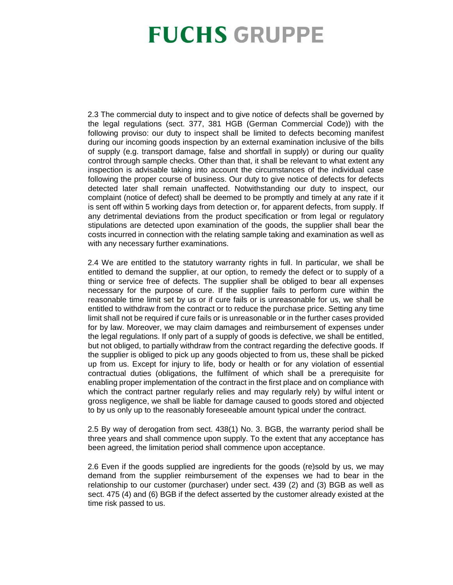2.3 The commercial duty to inspect and to give notice of defects shall be governed by the legal regulations (sect. 377, 381 HGB (German Commercial Code)) with the following proviso: our duty to inspect shall be limited to defects becoming manifest during our incoming goods inspection by an external examination inclusive of the bills of supply (e.g. transport damage, false and shortfall in supply) or during our quality control through sample checks. Other than that, it shall be relevant to what extent any inspection is advisable taking into account the circumstances of the individual case following the proper course of business. Our duty to give notice of defects for defects detected later shall remain unaffected. Notwithstanding our duty to inspect, our complaint (notice of defect) shall be deemed to be promptly and timely at any rate if it is sent off within 5 working days from detection or, for apparent defects, from supply. If any detrimental deviations from the product specification or from legal or regulatory stipulations are detected upon examination of the goods, the supplier shall bear the costs incurred in connection with the relating sample taking and examination as well as with any necessary further examinations.

2.4 We are entitled to the statutory warranty rights in full. In particular, we shall be entitled to demand the supplier, at our option, to remedy the defect or to supply of a thing or service free of defects. The supplier shall be obliged to bear all expenses necessary for the purpose of cure. If the supplier fails to perform cure within the reasonable time limit set by us or if cure fails or is unreasonable for us, we shall be entitled to withdraw from the contract or to reduce the purchase price. Setting any time limit shall not be required if cure fails or is unreasonable or in the further cases provided for by law. Moreover, we may claim damages and reimbursement of expenses under the legal regulations. If only part of a supply of goods is defective, we shall be entitled, but not obliged, to partially withdraw from the contract regarding the defective goods. If the supplier is obliged to pick up any goods objected to from us, these shall be picked up from us. Except for injury to life, body or health or for any violation of essential contractual duties (obligations, the fulfilment of which shall be a prerequisite for enabling proper implementation of the contract in the first place and on compliance with which the contract partner regularly relies and may regularly rely) by wilful intent or gross negligence, we shall be liable for damage caused to goods stored and objected to by us only up to the reasonably foreseeable amount typical under the contract.

2.5 By way of derogation from sect. 438(1) No. 3. BGB, the warranty period shall be three years and shall commence upon supply. To the extent that any acceptance has been agreed, the limitation period shall commence upon acceptance.

2.6 Even if the goods supplied are ingredients for the goods (re)sold by us, we may demand from the supplier reimbursement of the expenses we had to bear in the relationship to our customer (purchaser) under sect. 439 (2) and (3) BGB as well as sect. 475 (4) and (6) BGB if the defect asserted by the customer already existed at the time risk passed to us.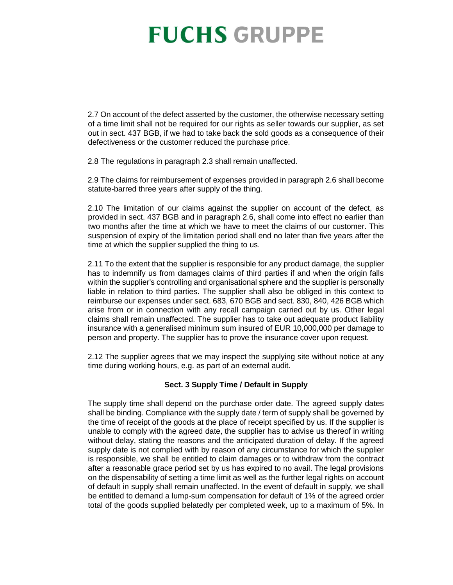2.7 On account of the defect asserted by the customer, the otherwise necessary setting of a time limit shall not be required for our rights as seller towards our supplier, as set out in sect. 437 BGB, if we had to take back the sold goods as a consequence of their defectiveness or the customer reduced the purchase price.

2.8 The regulations in paragraph 2.3 shall remain unaffected.

2.9 The claims for reimbursement of expenses provided in paragraph 2.6 shall become statute-barred three years after supply of the thing.

2.10 The limitation of our claims against the supplier on account of the defect, as provided in sect. 437 BGB and in paragraph 2.6, shall come into effect no earlier than two months after the time at which we have to meet the claims of our customer. This suspension of expiry of the limitation period shall end no later than five years after the time at which the supplier supplied the thing to us.

2.11 To the extent that the supplier is responsible for any product damage, the supplier has to indemnify us from damages claims of third parties if and when the origin falls within the supplier's controlling and organisational sphere and the supplier is personally liable in relation to third parties. The supplier shall also be obliged in this context to reimburse our expenses under sect. 683, 670 BGB and sect. 830, 840, 426 BGB which arise from or in connection with any recall campaign carried out by us. Other legal claims shall remain unaffected. The supplier has to take out adequate product liability insurance with a generalised minimum sum insured of EUR 10,000,000 per damage to person and property. The supplier has to prove the insurance cover upon request.

2.12 The supplier agrees that we may inspect the supplying site without notice at any time during working hours, e.g. as part of an external audit.

### **Sect. 3 Supply Time / Default in Supply**

The supply time shall depend on the purchase order date. The agreed supply dates shall be binding. Compliance with the supply date / term of supply shall be governed by the time of receipt of the goods at the place of receipt specified by us. If the supplier is unable to comply with the agreed date, the supplier has to advise us thereof in writing without delay, stating the reasons and the anticipated duration of delay. If the agreed supply date is not complied with by reason of any circumstance for which the supplier is responsible, we shall be entitled to claim damages or to withdraw from the contract after a reasonable grace period set by us has expired to no avail. The legal provisions on the dispensability of setting a time limit as well as the further legal rights on account of default in supply shall remain unaffected. In the event of default in supply, we shall be entitled to demand a lump-sum compensation for default of 1% of the agreed order total of the goods supplied belatedly per completed week, up to a maximum of 5%. In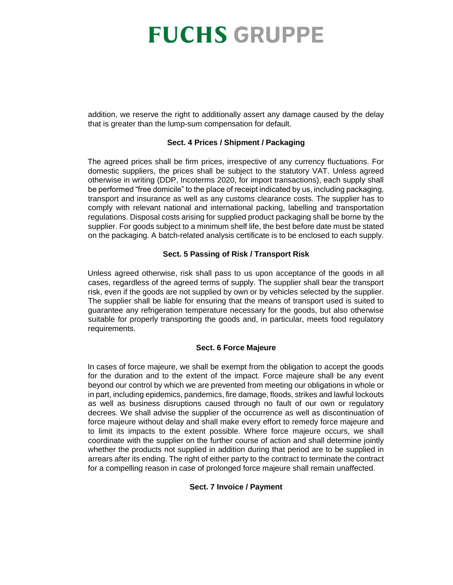addition, we reserve the right to additionally assert any damage caused by the delay that is greater than the lump-sum compensation for default.

#### **Sect. 4 Prices / Shipment / Packaging**

The agreed prices shall be firm prices, irrespective of any currency fluctuations. For domestic suppliers, the prices shall be subject to the statutory VAT. Unless agreed otherwise in writing (DDP, Incoterms 2020, for import transactions), each supply shall be performed "free domicile" to the place of receipt indicated by us, including packaging, transport and insurance as well as any customs clearance costs. The supplier has to comply with relevant national and international packing, labelling and transportation regulations. Disposal costs arising for supplied product packaging shall be borne by the supplier. For goods subject to a minimum shelf life, the best before date must be stated on the packaging. A batch-related analysis certificate is to be enclosed to each supply.

#### **Sect. 5 Passing of Risk / Transport Risk**

Unless agreed otherwise, risk shall pass to us upon acceptance of the goods in all cases, regardless of the agreed terms of supply. The supplier shall bear the transport risk, even if the goods are not supplied by own or by vehicles selected by the supplier. The supplier shall be liable for ensuring that the means of transport used is suited to guarantee any refrigeration temperature necessary for the goods, but also otherwise suitable for properly transporting the goods and, in particular, meets food regulatory requirements.

#### **Sect. 6 Force Majeure**

In cases of force majeure, we shall be exempt from the obligation to accept the goods for the duration and to the extent of the impact. Force majeure shall be any event beyond our control by which we are prevented from meeting our obligations in whole or in part, including epidemics, pandemics, fire damage, floods, strikes and lawful lockouts as well as business disruptions caused through no fault of our own or regulatory decrees. We shall advise the supplier of the occurrence as well as discontinuation of force majeure without delay and shall make every effort to remedy force majeure and to limit its impacts to the extent possible. Where force majeure occurs, we shall coordinate with the supplier on the further course of action and shall determine jointly whether the products not supplied in addition during that period are to be supplied in arrears after its ending. The right of either party to the contract to terminate the contract for a compelling reason in case of prolonged force majeure shall remain unaffected.

#### **Sect. 7 Invoice / Payment**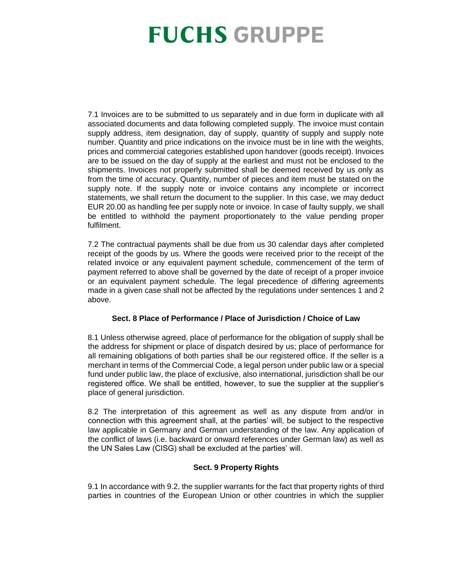7.1 Invoices are to be submitted to us separately and in due form in duplicate with all associated documents and data following completed supply. The invoice must contain supply address, item designation, day of supply, quantity of supply and supply note number. Quantity and price indications on the invoice must be in line with the weights, prices and commercial categories established upon handover (goods receipt). Invoices are to be issued on the day of supply at the earliest and must not be enclosed to the shipments. Invoices not properly submitted shall be deemed received by us only as from the time of accuracy. Quantity, number of pieces and item must be stated on the supply note. If the supply note or invoice contains any incomplete or incorrect statements, we shall return the document to the supplier. In this case, we may deduct EUR 20.00 as handling fee per supply note or invoice. In case of faulty supply, we shall be entitled to withhold the payment proportionately to the value pending proper fulfilment.

7.2 The contractual payments shall be due from us 30 calendar days after completed receipt of the goods by us. Where the goods were received prior to the receipt of the related invoice or any equivalent payment schedule, commencement of the term of payment referred to above shall be governed by the date of receipt of a proper invoice or an equivalent payment schedule. The legal precedence of differing agreements made in a given case shall not be affected by the regulations under sentences 1 and 2 above.

#### **Sect. 8 Place of Performance / Place of Jurisdiction / Choice of Law**

8.1 Unless otherwise agreed, place of performance for the obligation of supply shall be the address for shipment or place of dispatch desired by us; place of performance for all remaining obligations of both parties shall be our registered office. If the seller is a merchant in terms of the Commercial Code, a legal person under public law or a special fund under public law, the place of exclusive, also international, jurisdiction shall be our registered office. We shall be entitled, however, to sue the supplier at the supplier's place of general jurisdiction.

8.2 The interpretation of this agreement as well as any dispute from and/or in connection with this agreement shall, at the parties' will, be subject to the respective law applicable in Germany and German understanding of the law. Any application of the conflict of laws (i.e. backward or onward references under German law) as well as the UN Sales Law (CISG) shall be excluded at the parties' will.

### **Sect. 9 Property Rights**

9.1 In accordance with 9.2, the supplier warrants for the fact that property rights of third parties in countries of the European Union or other countries in which the supplier